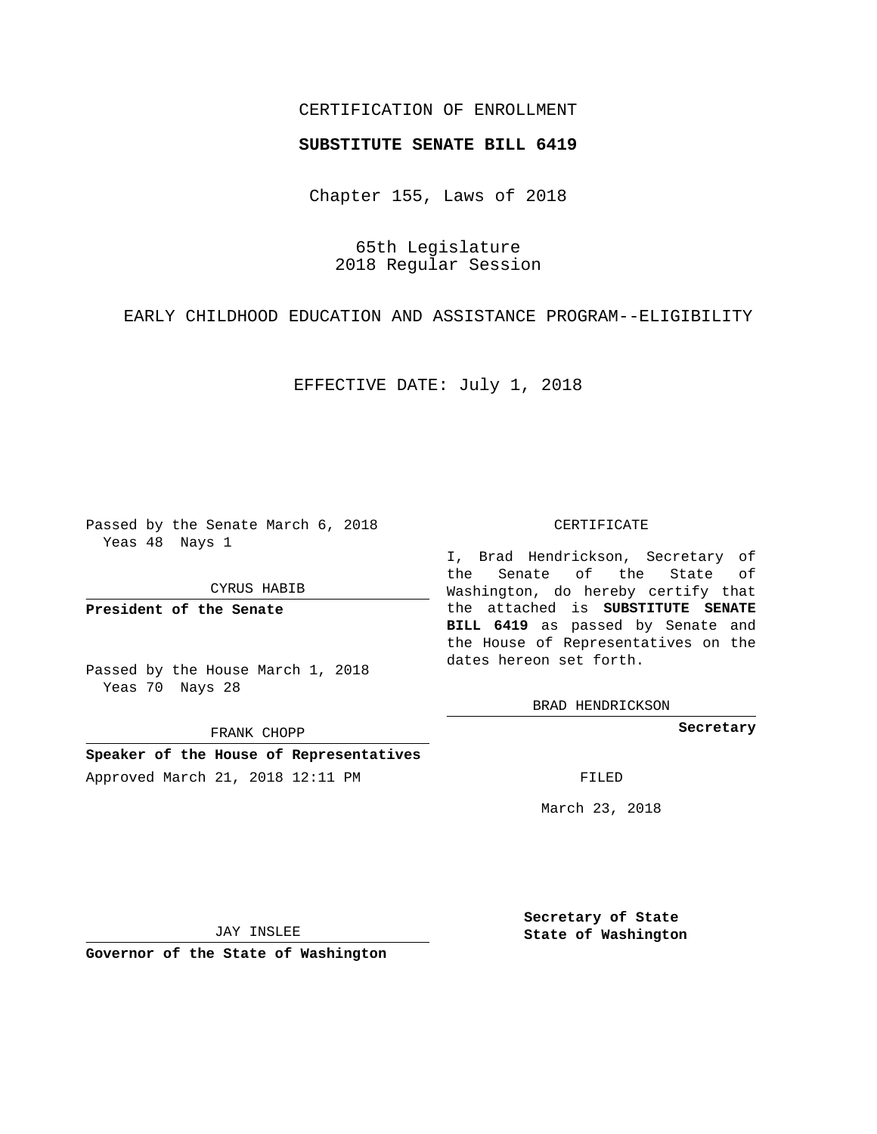## CERTIFICATION OF ENROLLMENT

### **SUBSTITUTE SENATE BILL 6419**

Chapter 155, Laws of 2018

65th Legislature 2018 Regular Session

EARLY CHILDHOOD EDUCATION AND ASSISTANCE PROGRAM--ELIGIBILITY

EFFECTIVE DATE: July 1, 2018

Passed by the Senate March 6, 2018 Yeas 48 Nays 1

CYRUS HABIB

**President of the Senate**

Passed by the House March 1, 2018 Yeas 70 Nays 28

FRANK CHOPP

**Speaker of the House of Representatives** Approved March 21, 2018 12:11 PM FILED

#### CERTIFICATE

I, Brad Hendrickson, Secretary of the Senate of the State of Washington, do hereby certify that the attached is **SUBSTITUTE SENATE BILL 6419** as passed by Senate and the House of Representatives on the dates hereon set forth.

BRAD HENDRICKSON

**Secretary**

March 23, 2018

JAY INSLEE

**Governor of the State of Washington**

**Secretary of State State of Washington**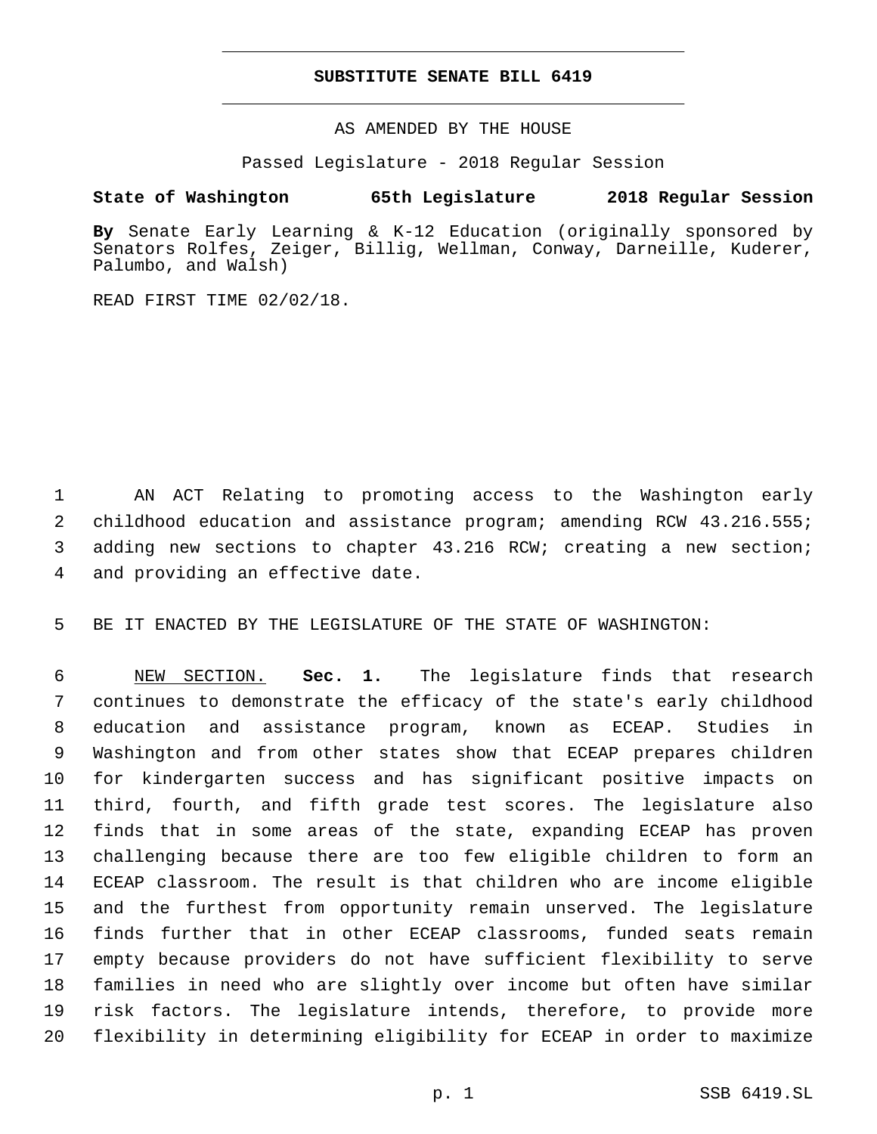## **SUBSTITUTE SENATE BILL 6419**

AS AMENDED BY THE HOUSE

Passed Legislature - 2018 Regular Session

# **State of Washington 65th Legislature 2018 Regular Session**

**By** Senate Early Learning & K-12 Education (originally sponsored by Senators Rolfes, Zeiger, Billig, Wellman, Conway, Darneille, Kuderer, Palumbo, and Walsh)

READ FIRST TIME 02/02/18.

 AN ACT Relating to promoting access to the Washington early childhood education and assistance program; amending RCW 43.216.555; adding new sections to chapter 43.216 RCW; creating a new section; 4 and providing an effective date.

BE IT ENACTED BY THE LEGISLATURE OF THE STATE OF WASHINGTON:

 NEW SECTION. **Sec. 1.** The legislature finds that research continues to demonstrate the efficacy of the state's early childhood education and assistance program, known as ECEAP. Studies in Washington and from other states show that ECEAP prepares children for kindergarten success and has significant positive impacts on third, fourth, and fifth grade test scores. The legislature also finds that in some areas of the state, expanding ECEAP has proven challenging because there are too few eligible children to form an ECEAP classroom. The result is that children who are income eligible and the furthest from opportunity remain unserved. The legislature finds further that in other ECEAP classrooms, funded seats remain empty because providers do not have sufficient flexibility to serve families in need who are slightly over income but often have similar risk factors. The legislature intends, therefore, to provide more flexibility in determining eligibility for ECEAP in order to maximize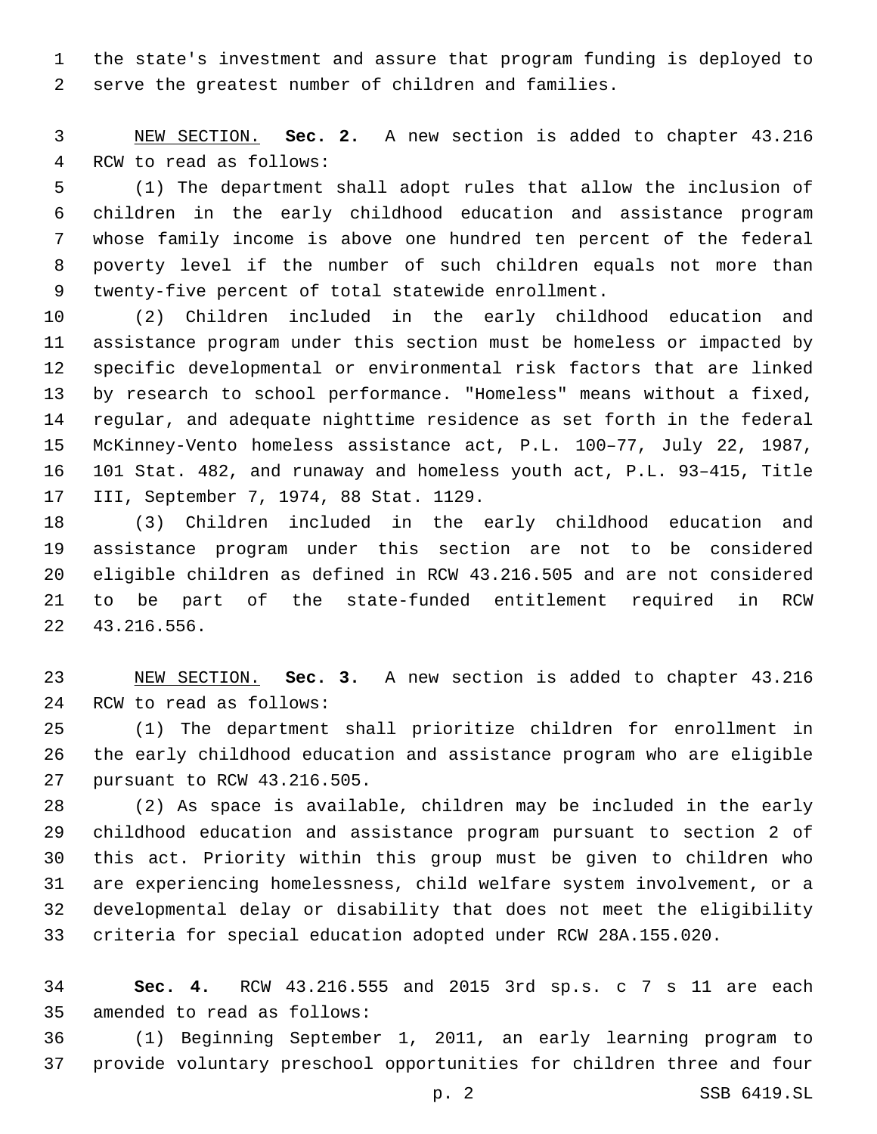the state's investment and assure that program funding is deployed to serve the greatest number of children and families.

 NEW SECTION. **Sec. 2.** A new section is added to chapter 43.216 4 RCW to read as follows:

 (1) The department shall adopt rules that allow the inclusion of children in the early childhood education and assistance program whose family income is above one hundred ten percent of the federal poverty level if the number of such children equals not more than 9 twenty-five percent of total statewide enrollment.

 (2) Children included in the early childhood education and assistance program under this section must be homeless or impacted by specific developmental or environmental risk factors that are linked by research to school performance. "Homeless" means without a fixed, regular, and adequate nighttime residence as set forth in the federal McKinney-Vento homeless assistance act, P.L. 100–77, July 22, 1987, 101 Stat. 482, and runaway and homeless youth act, P.L. 93–415, Title 17 III, September 7, 1974, 88 Stat. 1129.

 (3) Children included in the early childhood education and assistance program under this section are not to be considered eligible children as defined in RCW 43.216.505 and are not considered to be part of the state-funded entitlement required in RCW 43.216.556.22

 NEW SECTION. **Sec. 3.** A new section is added to chapter 43.216 24 RCW to read as follows:

 (1) The department shall prioritize children for enrollment in the early childhood education and assistance program who are eligible 27 pursuant to RCW 43.216.505.

 (2) As space is available, children may be included in the early childhood education and assistance program pursuant to section 2 of this act. Priority within this group must be given to children who are experiencing homelessness, child welfare system involvement, or a developmental delay or disability that does not meet the eligibility criteria for special education adopted under RCW 28A.155.020.

 **Sec. 4.** RCW 43.216.555 and 2015 3rd sp.s. c 7 s 11 are each 35 amended to read as follows:

 (1) Beginning September 1, 2011, an early learning program to provide voluntary preschool opportunities for children three and four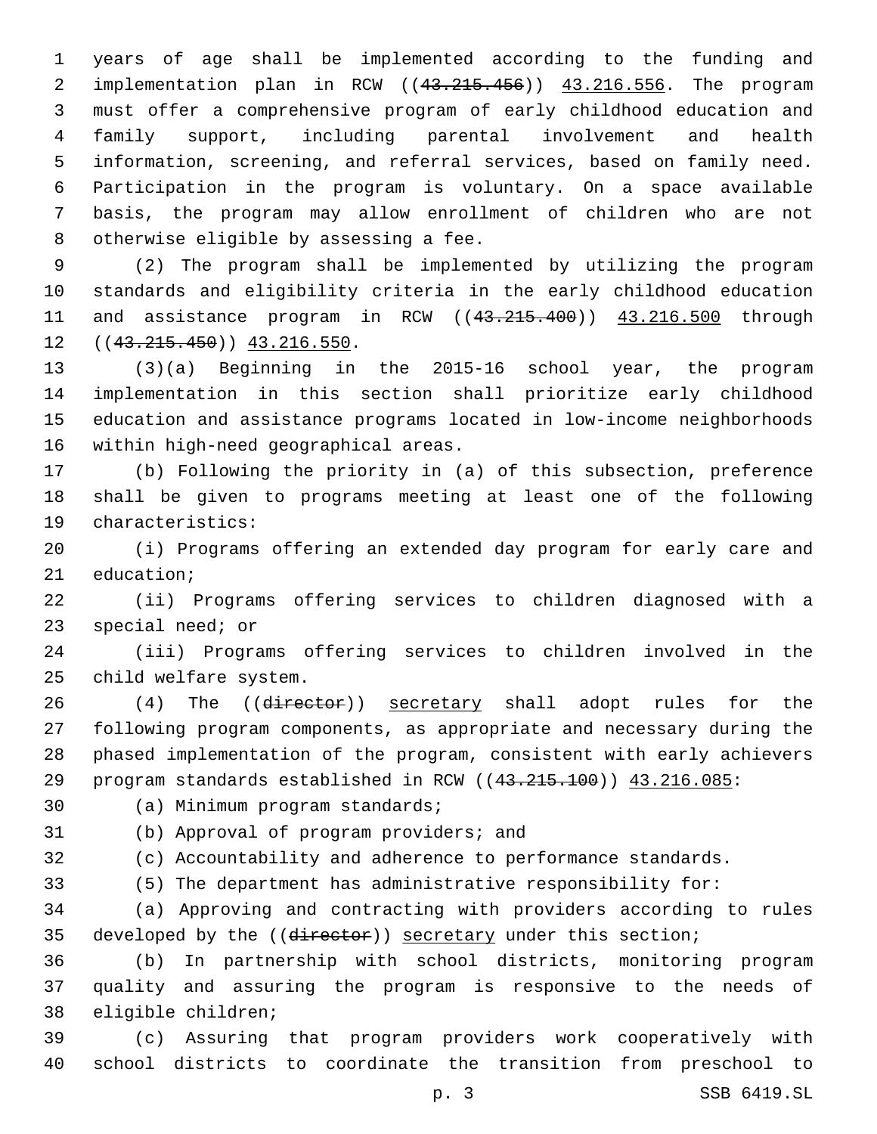years of age shall be implemented according to the funding and implementation plan in RCW ((43.215.456)) 43.216.556. The program must offer a comprehensive program of early childhood education and family support, including parental involvement and health information, screening, and referral services, based on family need. Participation in the program is voluntary. On a space available basis, the program may allow enrollment of children who are not 8 otherwise eligible by assessing a fee.

 (2) The program shall be implemented by utilizing the program standards and eligibility criteria in the early childhood education 11 and assistance program in RCW ((43.215.400)) 43.216.500 through  $((43.215.450))$   $43.216.550$ .

 (3)(a) Beginning in the 2015-16 school year, the program implementation in this section shall prioritize early childhood education and assistance programs located in low-income neighborhoods 16 within high-need geographical areas.

 (b) Following the priority in (a) of this subsection, preference shall be given to programs meeting at least one of the following 19 characteristics:

 (i) Programs offering an extended day program for early care and 21 education;

 (ii) Programs offering services to children diagnosed with a 23 special need; or

 (iii) Programs offering services to children involved in the 25 child welfare system.

26 (4) The ((director)) secretary shall adopt rules for the following program components, as appropriate and necessary during the phased implementation of the program, consistent with early achievers 29 program standards established in RCW ((43.215.100)) 43.216.085:

30 (a) Minimum program standards;

31 (b) Approval of program providers; and

(c) Accountability and adherence to performance standards.

(5) The department has administrative responsibility for:

 (a) Approving and contracting with providers according to rules 35 developed by the ((director)) secretary under this section;

 (b) In partnership with school districts, monitoring program quality and assuring the program is responsive to the needs of 38 eligible children;

 (c) Assuring that program providers work cooperatively with school districts to coordinate the transition from preschool to